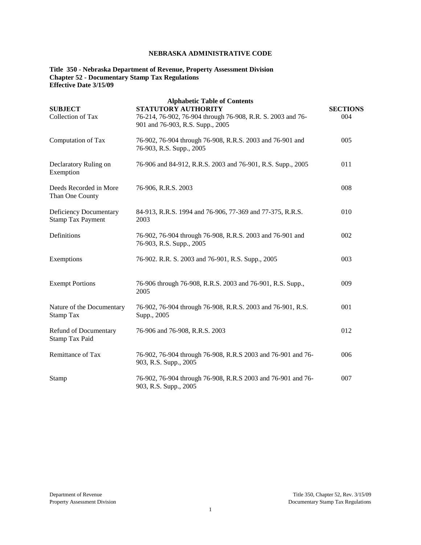# **NEBRASKA ADMINISTRATIVE CODE**

**Title 350 - Nebraska Department of Revenue, Property Assessment Division Chapter 52 - Documentary Stamp Tax Regulations Effective Date 3/15/09**

| <b>SUBJECT</b><br>Collection of Tax                | <b>Alphabetic Table of Contents</b><br><b>STATUTORY AUTHORITY</b><br>76-214, 76-902, 76-904 through 76-908, R.R. S. 2003 and 76-<br>901 and 76-903, R.S. Supp., 2005 | <b>SECTIONS</b><br>004 |
|----------------------------------------------------|----------------------------------------------------------------------------------------------------------------------------------------------------------------------|------------------------|
| Computation of Tax                                 | 76-902, 76-904 through 76-908, R.R.S. 2003 and 76-901 and<br>76-903, R.S. Supp., 2005                                                                                | 005                    |
| Declaratory Ruling on<br>Exemption                 | 76-906 and 84-912, R.R.S. 2003 and 76-901, R.S. Supp., 2005                                                                                                          | 011                    |
| Deeds Recorded in More<br>Than One County          | 76-906, R.R.S. 2003                                                                                                                                                  | 008                    |
| Deficiency Documentary<br><b>Stamp Tax Payment</b> | 84-913, R.R.S. 1994 and 76-906, 77-369 and 77-375, R.R.S.<br>2003                                                                                                    | 010                    |
| Definitions                                        | 76-902, 76-904 through 76-908, R.R.S. 2003 and 76-901 and<br>76-903, R.S. Supp., 2005                                                                                | 002                    |
| Exemptions                                         | 76-902. R.R. S. 2003 and 76-901, R.S. Supp., 2005                                                                                                                    | 003                    |
| <b>Exempt Portions</b>                             | 76-906 through 76-908, R.R.S. 2003 and 76-901, R.S. Supp.,<br>2005                                                                                                   | 009                    |
| Nature of the Documentary<br>Stamp Tax             | 76-902, 76-904 through 76-908, R.R.S. 2003 and 76-901, R.S.<br>Supp., 2005                                                                                           | 001                    |
| Refund of Documentary<br>Stamp Tax Paid            | 76-906 and 76-908, R.R.S. 2003                                                                                                                                       | 012                    |
| Remittance of Tax                                  | 76-902, 76-904 through 76-908, R.R.S 2003 and 76-901 and 76-<br>903, R.S. Supp., 2005                                                                                | 006                    |
| Stamp                                              | 76-902, 76-904 through 76-908, R.R.S 2003 and 76-901 and 76-<br>903, R.S. Supp., 2005                                                                                | 007                    |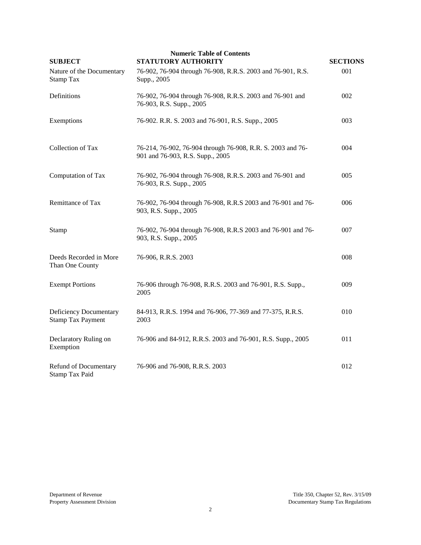| <b>SUBJECT</b>                                     | <b>Numeric Table of Contents</b><br>STATUTORY AUTHORITY                                         | <b>SECTIONS</b> |
|----------------------------------------------------|-------------------------------------------------------------------------------------------------|-----------------|
| Nature of the Documentary<br>Stamp Tax             | 76-902, 76-904 through 76-908, R.R.S. 2003 and 76-901, R.S.<br>Supp., 2005                      | 001             |
| Definitions                                        | 76-902, 76-904 through 76-908, R.R.S. 2003 and 76-901 and<br>76-903, R.S. Supp., 2005           | 002             |
| Exemptions                                         | 76-902. R.R. S. 2003 and 76-901, R.S. Supp., 2005                                               | 003             |
| Collection of Tax                                  | 76-214, 76-902, 76-904 through 76-908, R.R. S. 2003 and 76-<br>901 and 76-903, R.S. Supp., 2005 | 004             |
| Computation of Tax                                 | 76-902, 76-904 through 76-908, R.R.S. 2003 and 76-901 and<br>76-903, R.S. Supp., 2005           | 005             |
| Remittance of Tax                                  | 76-902, 76-904 through 76-908, R.R.S 2003 and 76-901 and 76-<br>903, R.S. Supp., 2005           | 006             |
| <b>Stamp</b>                                       | 76-902, 76-904 through 76-908, R.R.S 2003 and 76-901 and 76-<br>903, R.S. Supp., 2005           | 007             |
| Deeds Recorded in More<br>Than One County          | 76-906, R.R.S. 2003                                                                             | 008             |
| <b>Exempt Portions</b>                             | 76-906 through 76-908, R.R.S. 2003 and 76-901, R.S. Supp.,<br>2005                              | 009             |
| Deficiency Documentary<br><b>Stamp Tax Payment</b> | 84-913, R.R.S. 1994 and 76-906, 77-369 and 77-375, R.R.S.<br>2003                               | 010             |
| Declaratory Ruling on<br>Exemption                 | 76-906 and 84-912, R.R.S. 2003 and 76-901, R.S. Supp., 2005                                     | 011             |
| Refund of Documentary<br>Stamp Tax Paid            | 76-906 and 76-908, R.R.S. 2003                                                                  | 012             |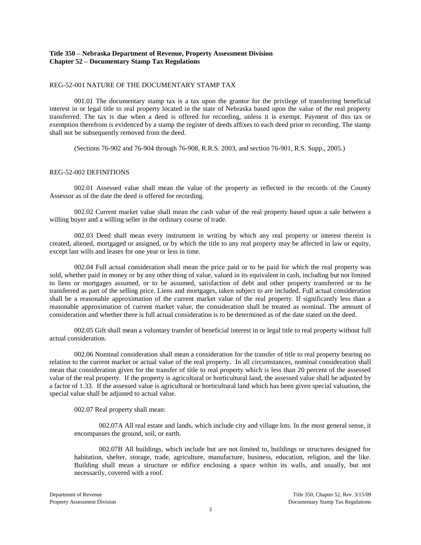# **Title 350 – Nebraska Department of Revenue, Property Assessment Division Chapter 52 – Documentary Stamp Tax Regulations**

# REG-52-001 NATURE OF THE DOCUMENTARY STAMP TAX

001.01 The documentary stamp tax is a tax upon the grantor for the privilege of transferring beneficial interest in or legal title to real property located in the state of Nebraska based upon the value of the real property transferred. The tax is due when a deed is offered for recording, unless it is exempt. Payment of this tax or exemption therefrom is evidenced by a stamp the register of deeds affixes to each deed prior to recording. The stamp shall not be subsequently removed from the deed.

(Sections 76-902 and 76-904 through 76-908, R.R.S. 2003, and section 76-901, R.S. Supp., 2005.)

## REG-52-002 DEFINITIONS

002.01 Assessed value shall mean the value of the property as reflected in the records of the County Assessor as of the date the deed is offered for recording.

002.02 Current market value shall mean the cash value of the real property based upon a sale between a willing buyer and a willing seller in the ordinary course of trade.

002.03 Deed shall mean every instrument in writing by which any real property or interest therein is created, aliened, mortgaged or assigned, or by which the title to any real property may be affected in law or equity, except last wills and leases for one year or less in time.

002.04 Full actual consideration shall mean the price paid or to be paid for which the real property was sold, whether paid in money or by any other thing of value, valued in its equivalent in cash, including but not limited to liens or mortgages assumed, or to be assumed, satisfaction of debt and other property transferred or to be transferred as part of the selling price. Liens and mortgages, taken subject to are included. Full actual consideration shall be a reasonable approximation of the current market value of the real property. If significantly less than a reasonable approximation of current market value, the consideration shall be treated as nominal. The amount of consideration and whether there is full actual consideration is to be determined as of the date stated on the deed.

002.05 Gift shall mean a voluntary transfer of beneficial interest in or legal title to real property without full actual consideration.

002.06 Nominal consideration shall mean a consideration for the transfer of title to real property bearing no relation to the current market or actual value of the real property. In all circumstances, nominal consideration shall mean that consideration given for the transfer of title to real property which is less than 20 percent of the assessed value of the real property. If the property is agricultural or horticultural land, the assessed value shall be adjusted by a factor of 1.33. If the assessed value is agricultural or horticultural land which has been given special valuation, the special value shall be adjusted to actual value.

002.07 Real property shall mean:

002.07A All real estate and lands, which include city and village lots. In the most general sense, it encompasses the ground, soil, or earth.

002.07B All buildings, which include but are not limited to, buildings or structures designed for habitation, shelter, storage, trade, agriculture, manufacture, business, education, religion, and the like. Building shall mean a structure or edifice enclosing a space within its walls, and usually, but not necessarily, covered with a roof.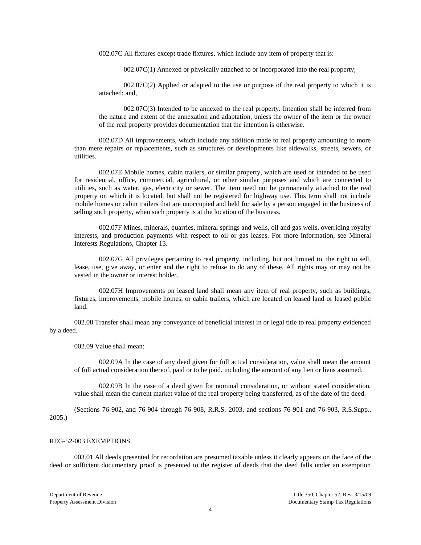002.07C All fixtures except trade fixtures, which include any item of property that is:

002.07C(1) Annexed or physically attached to or incorporated into the real property;

 $002.07C(2)$  Applied or adapted to the use or purpose of the real property to which it is attached; and,

002.07C(3) Intended to be annexed to the real property. Intention shall be inferred from the nature and extent of the annexation and adaptation, unless the owner of the item or the owner of the real property provides documentation that the intention is otherwise.

002.07D All improvements, which include any addition made to real property amounting to more than mere repairs or replacements, such as structures or developments like sidewalks, streets, sewers, or utilities.

002.07E Mobile homes, cabin trailers, or similar property, which are used or intended to be used for residential, office, commercial, agricultural, or other similar purposes and which are connected to utilities, such as water, gas, electricity or sewer. The item need not be permanently attached to the real property on which it is located, but shall not be registered for highway use. This term shall not include mobile homes or cabin trailers that are unoccupied and held for sale by a person engaged in the business of selling such property, when such property is at the location of the business.

002.07F Mines, minerals, quarries, mineral springs and wells, oil and gas wells, overriding royalty interests, and production payments with respect to oil or gas leases. For more information, see Mineral Interests Regulations, Chapter 13.

002.07G All privileges pertaining to real property, including, but not limited to, the right to sell, lease, use, give away, or enter and the right to refuse to do any of these. All rights may or may not be vested in the owner or interest holder.

002.07H Improvements on leased land shall mean any item of real property, such as buildings, fixtures, improvements, mobile homes, or cabin trailers, which are located on leased land or leased public land.

002.08 Transfer shall mean any conveyance of beneficial interest in or legal title to real property evidenced by a deed.

002.09 Value shall mean:

002.09A In the case of any deed given for full actual consideration, value shall mean the amount of full actual consideration thereof, paid or to be paid. including the amount of any lien or liens assumed.

002.09B In the case of a deed given for nominal consideration, or without stated consideration, value shall mean the current market value of the real property being transferred, as of the date of the deed.

(Sections 76-902, and 76-904 through 76-908, R.R.S. 2003, and sections 76-901 and 76-903, R.S.Supp., 2005.)

### REG-52-003 EXEMPTIONS

003.01 All deeds presented for recordation are presumed taxable unless it clearly appears on the face of the deed or sufficient documentary proof is presented to the register of deeds that the deed falls under an exemption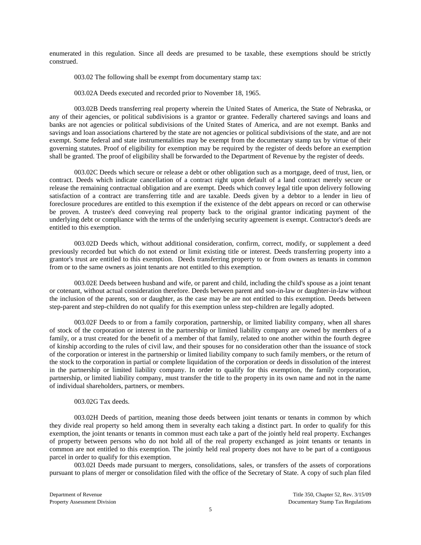enumerated in this regulation. Since all deeds are presumed to be taxable, these exemptions should be strictly construed.

003.02 The following shall be exempt from documentary stamp tax:

003.02A Deeds executed and recorded prior to November 18, 1965.

003.02B Deeds transferring real property wherein the United States of America, the State of Nebraska, or any of their agencies, or political subdivisions is a grantor or grantee. Federally chartered savings and loans and banks are not agencies or political subdivisions of the United States of America, and are not exempt. Banks and savings and loan associations chartered by the state are not agencies or political subdivisions of the state, and are not exempt. Some federal and state instrumentalities may be exempt from the documentary stamp tax by virtue of their governing statutes. Proof of eligibility for exemption may be required by the register of deeds before an exemption shall be granted. The proof of eligibility shall be forwarded to the Department of Revenue by the register of deeds.

003.02C Deeds which secure or release a debt or other obligation such as a mortgage, deed of trust, lien, or contract. Deeds which indicate cancellation of a contract right upon default of a land contract merely secure or release the remaining contractual obligation and are exempt. Deeds which convey legal title upon delivery following satisfaction of a contract are transferring title and are taxable. Deeds given by a debtor to a lender in lieu of foreclosure procedures are entitled to this exemption if the existence of the debt appears on record or can otherwise be proven. A trustee's deed conveying real property back to the original grantor indicating payment of the underlying debt or compliance with the terms of the underlying security agreement is exempt. Contractor's deeds are entitled to this exemption.

003.02D Deeds which, without additional consideration, confirm, correct, modify, or supplement a deed previously recorded but which do not extend or limit existing title or interest. Deeds transferring property into a grantor's trust are entitled to this exemption. Deeds transferring property to or from owners as tenants in common from or to the same owners as joint tenants are not entitled to this exemption.

003.02E Deeds between husband and wife, or parent and child, including the child's spouse as a joint tenant or cotenant, without actual consideration therefore. Deeds between parent and son-in-law or daughter-in-law without the inclusion of the parents, son or daughter, as the case may be are not entitled to this exemption. Deeds between step-parent and step-children do not qualify for this exemption unless step-children are legally adopted.

003.02F Deeds to or from a family corporation, partnership, or limited liability company, when all shares of stock of the corporation or interest in the partnership or limited liability company are owned by members of a family, or a trust created for the benefit of a member of that family, related to one another within the fourth degree of kinship according to the rules of civil law, and their spouses for no consideration other than the issuance of stock of the corporation or interest in the partnership or limited liability company to such family members, or the return of the stock to the corporation in partial or complete liquidation of the corporation or deeds in dissolution of the interest in the partnership or limited liability company. In order to qualify for this exemption, the family corporation, partnership, or limited liability company, must transfer the title to the property in its own name and not in the name of individual shareholders, partners, or members.

# 003.02G Tax deeds.

003.02H Deeds of partition, meaning those deeds between joint tenants or tenants in common by which they divide real property so held among them in severalty each taking a distinct part. In order to qualify for this exemption, the joint tenants or tenants in common must each take a part of the jointly held real property. Exchanges of property between persons who do not hold all of the real property exchanged as joint tenants or tenants in common are not entitled to this exemption. The jointly held real property does not have to be part of a contiguous parcel in order to qualify for this exemption.

003.02I Deeds made pursuant to mergers, consolidations, sales, or transfers of the assets of corporations pursuant to plans of merger or consolidation filed with the office of the Secretary of State. A copy of such plan filed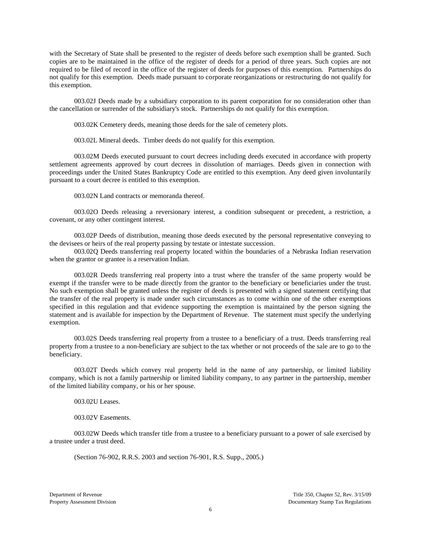with the Secretary of State shall be presented to the register of deeds before such exemption shall be granted. Such copies are to be maintained in the office of the register of deeds for a period of three years. Such copies are not required to be filed of record in the office of the register of deeds for purposes of this exemption. Partnerships do not qualify for this exemption. Deeds made pursuant to corporate reorganizations or restructuring do not qualify for this exemption.

003.02J Deeds made by a subsidiary corporation to its parent corporation for no consideration other than the cancellation or surrender of the subsidiary's stock. Partnerships do not qualify for this exemption.

003.02K Cemetery deeds, meaning those deeds for the sale of cemetery plots.

003.02L Mineral deeds. Timber deeds do not qualify for this exemption.

003.02M Deeds executed pursuant to court decrees including deeds executed in accordance with property settlement agreements approved by court decrees in dissolution of marriages. Deeds given in connection with proceedings under the United States Bankruptcy Code are entitled to this exemption. Any deed given involuntarily pursuant to a court decree is entitled to this exemption.

003.02N Land contracts or memoranda thereof.

003.02O Deeds releasing a reversionary interest, a condition subsequent or precedent, a restriction, a covenant, or any other contingent interest.

003.02P Deeds of distribution, meaning those deeds executed by the personal representative conveying to the devisees or heirs of the real property passing by testate or intestate succession.

003.02Q Deeds transferring real property located within the boundaries of a Nebraska Indian reservation when the grantor or grantee is a reservation Indian.

003.02R Deeds transferring real property into a trust where the transfer of the same property would be exempt if the transfer were to be made directly from the grantor to the beneficiary or beneficiaries under the trust. No such exemption shall be granted unless the register of deeds is presented with a signed statement certifying that the transfer of the real property is made under such circumstances as to come within one of the other exemptions specified in this regulation and that evidence supporting the exemption is maintained by the person signing the statement and is available for inspection by the Department of Revenue. The statement must specify the underlying exemption.

003.02S Deeds transferring real property from a trustee to a beneficiary of a trust. Deeds transferring real property from a trustee to a non-beneficiary are subject to the tax whether or not proceeds of the sale are to go to the beneficiary.

003.02T Deeds which convey real property held in the name of any partnership, or limited liability company, which is not a family partnership or limited liability company, to any partner in the partnership, member of the limited liability company, or his or her spouse.

003.02U Leases.

003.02V Easements.

003.02W Deeds which transfer title from a trustee to a beneficiary pursuant to a power of sale exercised by a trustee under a trust deed.

(Section 76-902, R.R.S. 2003 and section 76-901, R.S. Supp., 2005.)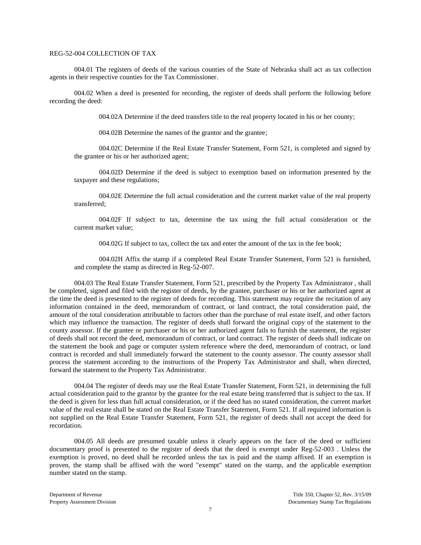# REG-52-004 COLLECTION OF TAX

004.01 The registers of deeds of the various counties of the State of Nebraska shall act as tax collection agents in their respective counties for the Tax Commissioner.

004.02 When a deed is presented for recording, the register of deeds shall perform the following before recording the deed:

004.02A Determine if the deed transfers title to the real property located in his or her county;

004.02B Determine the names of the grantor and the grantee;

004.02C Determine if the Real Estate Transfer Statement, Form 521, is completed and signed by the grantee or his or her authorized agent;

004.02D Determine if the deed is subject to exemption based on information presented by the taxpayer and these regulations;

004.02E Determine the full actual consideration and the current market value of the real property transferred;

004.02F If subject to tax, determine the tax using the full actual consideration or the current market value;

004.02G If subject to tax, collect the tax and enter the amount of the tax in the fee book;

004.02H Affix the stamp if a completed Real Estate Transfer Statement, Form 521 is furnished, and complete the stamp as directed in Reg-52-007.

004.03 The Real Estate Transfer Statement, Form 521, prescribed by the Property Tax Administrator , shall be completed, signed and filed with the register of deeds, by the grantee, purchaser or his or her authorized agent at the time the deed is presented to the register of deeds for recording. This statement may require the recitation of any information contained in the deed, memorandum of contract, or land contract, the total consideration paid, the amount of the total consideration attributable to factors other than the purchase of real estate itself, and other factors which may influence the transaction. The register of deeds shall forward the original copy of the statement to the county assessor. If the grantee or purchaser or his or her authorized agent fails to furnish the statement, the register of deeds shall not record the deed, memorandum of contract, or land contract. The register of deeds shall indicate on the statement the book and page or computer system reference where the deed, memorandum of contract, or land contract is recorded and shall immediately forward the statement to the county assessor. The county assessor shall process the statement according to the instructions of the Property Tax Administrator and shall, when directed, forward the statement to the Property Tax Administrator.

004.04 The register of deeds may use the Real Estate Transfer Statement, Form 521, in determining the full actual consideration paid to the grantor by the grantee for the real estate being transferred that is subject to the tax. If the deed is given for less than full actual consideration, or if the deed has no stated consideration, the current market value of the real estate shall be stated on the Real Estate Transfer Statement, Form 521. If all required information is not supplied on the Real Estate Transfer Statement, Form 521, the register of deeds shall not accept the deed for recordation.

004.05 All deeds are presumed taxable unless it clearly appears on the face of the deed or sufficient documentary proof is presented to the register of deeds that the deed is exempt under Reg-52-003 . Unless the exemption is proved, no deed shall be recorded unless the tax is paid and the stamp affixed. If an exemption is proven, the stamp shall be affixed with the word "exempt" stated on the stamp, and the applicable exemption number stated on the stamp.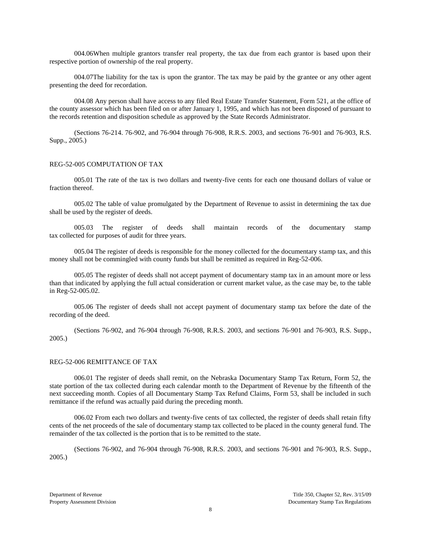004.06When multiple grantors transfer real property, the tax due from each grantor is based upon their respective portion of ownership of the real property.

004.07The liability for the tax is upon the grantor. The tax may be paid by the grantee or any other agent presenting the deed for recordation.

004.08 Any person shall have access to any filed Real Estate Transfer Statement, Form 521, at the office of the county assessor which has been filed on or after January 1, 1995, and which has not been disposed of pursuant to the records retention and disposition schedule as approved by the State Records Administrator.

(Sections 76-214. 76-902, and 76-904 through 76-908, R.R.S. 2003, and sections 76-901 and 76-903, R.S. Supp., 2005.)

### REG-52-005 COMPUTATION OF TAX

005.01 The rate of the tax is two dollars and twenty-five cents for each one thousand dollars of value or fraction thereof.

005.02 The table of value promulgated by the Department of Revenue to assist in determining the tax due shall be used by the register of deeds.

005.03 The register of deeds shall maintain records of the documentary stamp tax collected for purposes of audit for three years.

005.04 The register of deeds is responsible for the money collected for the documentary stamp tax, and this money shall not be commingled with county funds but shall be remitted as required in Reg-52-006.

005.05 The register of deeds shall not accept payment of documentary stamp tax in an amount more or less than that indicated by applying the full actual consideration or current market value, as the case may be, to the table in Reg-52-005.02.

005.06 The register of deeds shall not accept payment of documentary stamp tax before the date of the recording of the deed.

(Sections 76-902, and 76-904 through 76-908, R.R.S. 2003, and sections 76-901 and 76-903, R.S. Supp., 2005.)

#### REG-52-006 REMITTANCE OF TAX

006.01 The register of deeds shall remit, on the Nebraska Documentary Stamp Tax Return, Form 52, the state portion of the tax collected during each calendar month to the Department of Revenue by the fifteenth of the next succeeding month. Copies of all Documentary Stamp Tax Refund Claims, Form 53, shall be included in such remittance if the refund was actually paid during the preceding month.

006.02 From each two dollars and twenty-five cents of tax collected, the register of deeds shall retain fifty cents of the net proceeds of the sale of documentary stamp tax collected to be placed in the county general fund. The remainder of the tax collected is the portion that is to be remitted to the state.

(Sections 76-902, and 76-904 through 76-908, R.R.S. 2003, and sections 76-901 and 76-903, R.S. Supp., 2005.)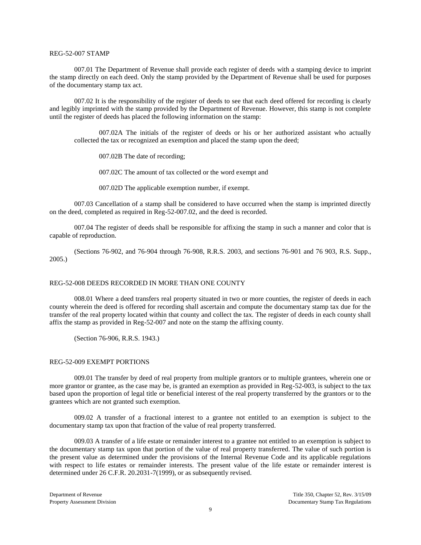## REG-52-007 STAMP

007.01 The Department of Revenue shall provide each register of deeds with a stamping device to imprint the stamp directly on each deed. Only the stamp provided by the Department of Revenue shall be used for purposes of the documentary stamp tax act.

007.02 It is the responsibility of the register of deeds to see that each deed offered for recording is clearly and legibly imprinted with the stamp provided by the Department of Revenue. However, this stamp is not complete until the register of deeds has placed the following information on the stamp:

007.02A The initials of the register of deeds or his or her authorized assistant who actually collected the tax or recognized an exemption and placed the stamp upon the deed;

007.02B The date of recording;

007.02C The amount of tax collected or the word exempt and

007.02D The applicable exemption number, if exempt.

007.03 Cancellation of a stamp shall be considered to have occurred when the stamp is imprinted directly on the deed, completed as required in Reg-52-007.02, and the deed is recorded.

007.04 The register of deeds shall be responsible for affixing the stamp in such a manner and color that is capable of reproduction.

(Sections 76-902, and 76-904 through 76-908, R.R.S. 2003, and sections 76-901 and 76 903, R.S. Supp., 2005.)

## REG-52-008 DEEDS RECORDED IN MORE THAN ONE COUNTY

008.01 Where a deed transfers real property situated in two or more counties, the register of deeds in each county wherein the deed is offered for recording shall ascertain and compute the documentary stamp tax due for the transfer of the real property located within that county and collect the tax. The register of deeds in each county shall affix the stamp as provided in Reg-52-007 and note on the stamp the affixing county.

(Section 76-906, R.R.S. 1943.)

### REG-52-009 EXEMPT PORTIONS

009.01 The transfer by deed of real property from multiple grantors or to multiple grantees, wherein one or more grantor or grantee, as the case may be, is granted an exemption as provided in Reg-52-003, is subject to the tax based upon the proportion of legal title or beneficial interest of the real property transferred by the grantors or to the grantees which are not granted such exemption.

009.02 A transfer of a fractional interest to a grantee not entitled to an exemption is subject to the documentary stamp tax upon that fraction of the value of real property transferred.

009.03 A transfer of a life estate or remainder interest to a grantee not entitled to an exemption is subject to the documentary stamp tax upon that portion of the value of real property transferred. The value of such portion is the present value as determined under the provisions of the Internal Revenue Code and its applicable regulations with respect to life estates or remainder interests. The present value of the life estate or remainder interest is determined under 26 C.F.R. 20.2031-7(1999), or as subsequently revised.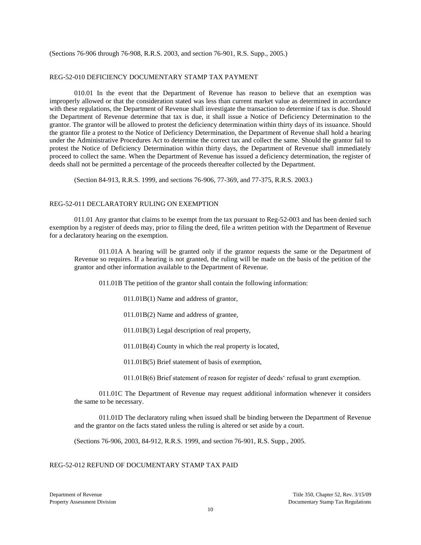(Sections 76-906 through 76-908, R.R.S. 2003, and section 76-901, R.S. Supp., 2005.)

# REG-52-010 DEFICIENCY DOCUMENTARY STAMP TAX PAYMENT

010.01 In the event that the Department of Revenue has reason to believe that an exemption was improperly allowed or that the consideration stated was less than current market value as determined in accordance with these regulations, the Department of Revenue shall investigate the transaction to determine if tax is due. Should the Department of Revenue determine that tax is due, it shall issue a Notice of Deficiency Determination to the grantor. The grantor will be allowed to protest the deficiency determination within thirty days of its issuance. Should the grantor file a protest to the Notice of Deficiency Determination, the Department of Revenue shall hold a hearing under the Administrative Procedures Act to determine the correct tax and collect the same. Should the grantor fail to protest the Notice of Deficiency Determination within thirty days, the Department of Revenue shall immediately proceed to collect the same. When the Department of Revenue has issued a deficiency determination, the register of deeds shall not be permitted a percentage of the proceeds thereafter collected by the Department.

(Section 84-913, R.R.S. 1999, and sections 76-906, 77-369, and 77-375, R.R.S. 2003.)

## REG-52-011 DECLARATORY RULING ON EXEMPTION

011.01 Any grantor that claims to be exempt from the tax pursuant to Reg-52-003 and has been denied such exemption by a register of deeds may, prior to filing the deed, file a written petition with the Department of Revenue for a declaratory hearing on the exemption.

011.01A A hearing will be granted only if the grantor requests the same or the Department of Revenue so requires. If a hearing is not granted, the ruling will be made on the basis of the petition of the grantor and other information available to the Department of Revenue.

011.01B The petition of the grantor shall contain the following information:

011.01B(1) Name and address of grantor,

011.01B(2) Name and address of grantee,

011.01B(3) Legal description of real property,

011.01B(4) County in which the real property is located,

011.01B(5) Brief statement of basis of exemption,

011.01B(6) Brief statement of reason for register of deeds' refusal to grant exemption.

011.01C The Department of Revenue may request additional information whenever it considers the same to be necessary.

011.01D The declaratory ruling when issued shall be binding between the Department of Revenue and the grantor on the facts stated unless the ruling is altered or set aside by a court.

(Sections 76-906, 2003, 84-912, R.R.S. 1999, and section 76-901, R.S. Supp., 2005.

# REG-52-012 REFUND OF DOCUMENTARY STAMP TAX PAID